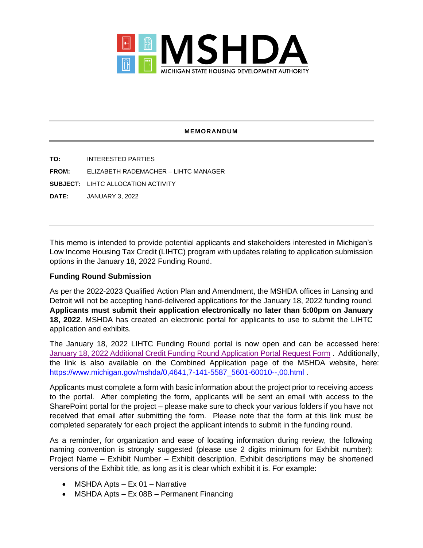

## **MEMORANDUM**

**TO:** INTERESTED PARTIES **FROM:** ELIZABETH RADEMACHER – LIHTC MANAGER **SUBJECT:** LIHTC ALLOCATION ACTIVITY **DATE:** JANUARY 3, 2022

This memo is intended to provide potential applicants and stakeholders interested in Michigan's Low Income Housing Tax Credit (LIHTC) program with updates relating to application submission options in the January 18, 2022 Funding Round.

## **Funding Round Submission**

As per the 2022-2023 Qualified Action Plan and Amendment, the MSHDA offices in Lansing and Detroit will not be accepting hand-delivered applications for the January 18, 2022 funding round. **Applicants must submit their application electronically no later than 5:00pm on January 18, 2022**. MSHDA has created an electronic portal for applicants to use to submit the LIHTC application and exhibits.

The January 18, 2022 LIHTC Funding Round portal is now open and can be accessed here: [January 18, 2022 Additional Credit Funding Round Application Portal Request Form](https://forms.office.com/Pages/ResponsePage.aspx?id=h3D71Xc3rUKWaoku9HIl0QT0dGK7XVRGjoZa4RFPxmNUNVI4MDNLTFQ0VjRBR0pXUFcwSTJIMkVCOS4u) . Additionally, the link is also available on the Combined Application page of the MSHDA website, here: [https://www.michigan.gov/mshda/0,4641,7-141-5587\\_5601-60010--,00.html](https://www.michigan.gov/mshda/0,4641,7-141-5587_5601-60010--,00.html) .

Applicants must complete a form with basic information about the project prior to receiving access to the portal. After completing the form, applicants will be sent an email with access to the SharePoint portal for the project – please make sure to check your various folders if you have not received that email after submitting the form. Please note that the form at this link must be completed separately for each project the applicant intends to submit in the funding round.

As a reminder, for organization and ease of locating information during review, the following naming convention is strongly suggested (please use 2 digits minimum for Exhibit number): Project Name – Exhibit Number – Exhibit description. Exhibit descriptions may be shortened versions of the Exhibit title, as long as it is clear which exhibit it is. For example:

- MSHDA Apts Ex 01 Narrative
- MSHDA Apts Ex 08B Permanent Financing